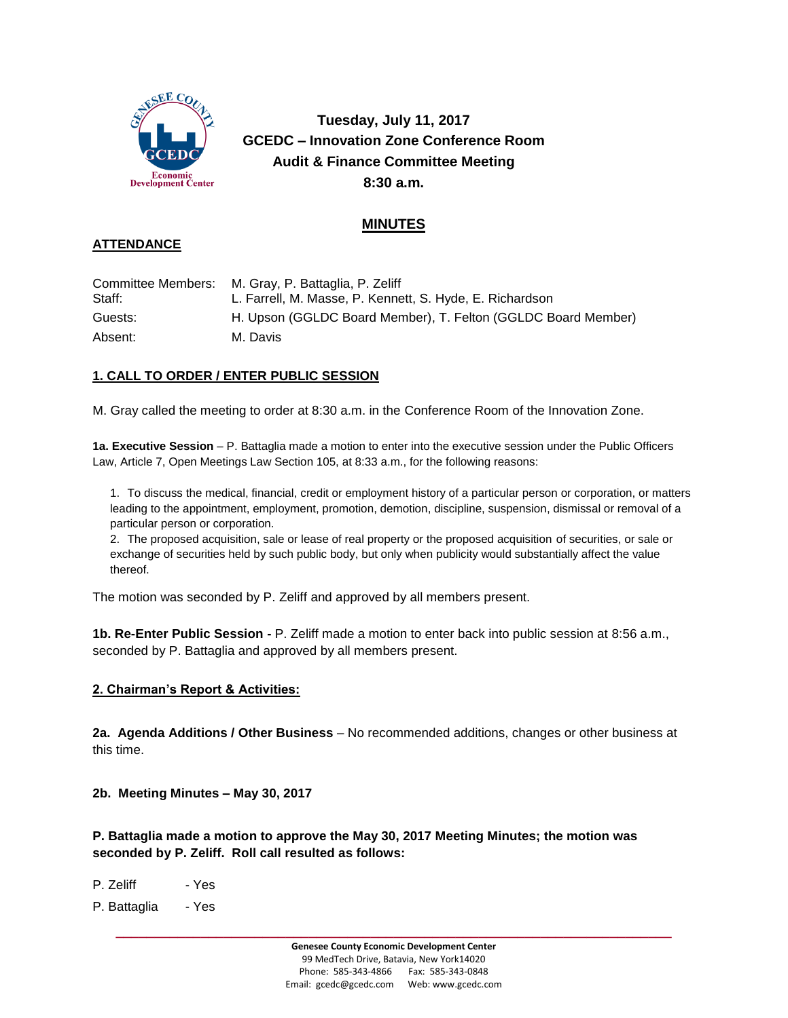

**Tuesday, July 11, 2017 GCEDC – Innovation Zone Conference Room Audit & Finance Committee Meeting 8:30 a.m.**

# **MINUTES**

## **ATTENDANCE**

|         | Committee Members: M. Gray, P. Battaglia, P. Zeliff           |
|---------|---------------------------------------------------------------|
| Staff:  | L. Farrell, M. Masse, P. Kennett, S. Hyde, E. Richardson      |
| Guests: | H. Upson (GGLDC Board Member), T. Felton (GGLDC Board Member) |
| Absent: | M. Davis                                                      |

# **1. CALL TO ORDER / ENTER PUBLIC SESSION**

M. Gray called the meeting to order at 8:30 a.m. in the Conference Room of the Innovation Zone.

**1a. Executive Session** – P. Battaglia made a motion to enter into the executive session under the Public Officers Law, Article 7, Open Meetings Law Section 105, at 8:33 a.m., for the following reasons:

1. To discuss the medical, financial, credit or employment history of a particular person or corporation, or matters leading to the appointment, employment, promotion, demotion, discipline, suspension, dismissal or removal of a particular person or corporation.

2. The proposed acquisition, sale or lease of real property or the proposed acquisition of securities, or sale or exchange of securities held by such public body, but only when publicity would substantially affect the value thereof.

The motion was seconded by P. Zeliff and approved by all members present.

**1b. Re-Enter Public Session -** P. Zeliff made a motion to enter back into public session at 8:56 a.m., seconded by P. Battaglia and approved by all members present.

#### **2. Chairman's Report & Activities:**

**2a. Agenda Additions / Other Business** – No recommended additions, changes or other business at this time.

**2b. Meeting Minutes – May 30, 2017**

**P. Battaglia made a motion to approve the May 30, 2017 Meeting Minutes; the motion was seconded by P. Zeliff. Roll call resulted as follows:**

P. Zeliff - Yes

P. Battaglia - Yes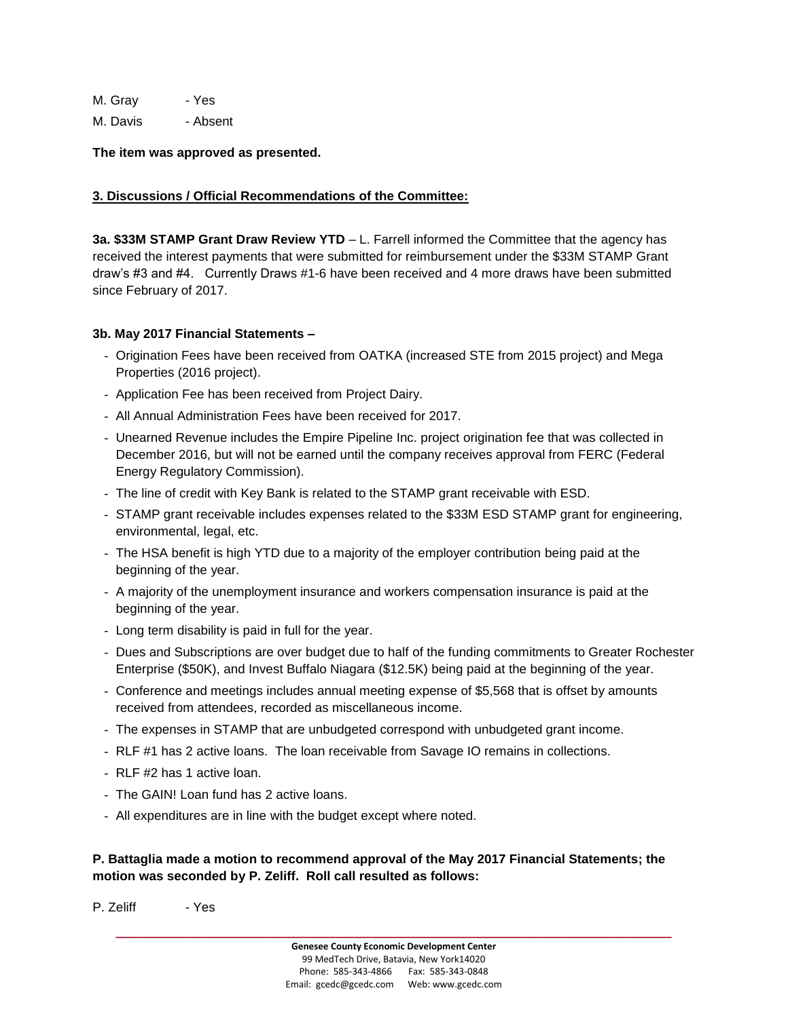M. Gray - Yes

M. Davis - Absent

**The item was approved as presented.**

#### **3. Discussions / Official Recommendations of the Committee:**

**3a. \$33M STAMP Grant Draw Review YTD** – L. Farrell informed the Committee that the agency has received the interest payments that were submitted for reimbursement under the \$33M STAMP Grant draw's #3 and #4. Currently Draws #1-6 have been received and 4 more draws have been submitted since February of 2017.

#### **3b. May 2017 Financial Statements –**

- Origination Fees have been received from OATKA (increased STE from 2015 project) and Mega Properties (2016 project).
- Application Fee has been received from Project Dairy.
- All Annual Administration Fees have been received for 2017.
- Unearned Revenue includes the Empire Pipeline Inc. project origination fee that was collected in December 2016, but will not be earned until the company receives approval from FERC (Federal Energy Regulatory Commission).
- The line of credit with Key Bank is related to the STAMP grant receivable with ESD.
- STAMP grant receivable includes expenses related to the \$33M ESD STAMP grant for engineering, environmental, legal, etc.
- The HSA benefit is high YTD due to a majority of the employer contribution being paid at the beginning of the year.
- A majority of the unemployment insurance and workers compensation insurance is paid at the beginning of the year.
- Long term disability is paid in full for the year.
- Dues and Subscriptions are over budget due to half of the funding commitments to Greater Rochester Enterprise (\$50K), and Invest Buffalo Niagara (\$12.5K) being paid at the beginning of the year.
- Conference and meetings includes annual meeting expense of \$5,568 that is offset by amounts received from attendees, recorded as miscellaneous income.
- The expenses in STAMP that are unbudgeted correspond with unbudgeted grant income.
- RLF #1 has 2 active loans. The loan receivable from Savage IO remains in collections.
- RLF #2 has 1 active loan.
- The GAIN! Loan fund has 2 active loans.
- All expenditures are in line with the budget except where noted.

### **P. Battaglia made a motion to recommend approval of the May 2017 Financial Statements; the motion was seconded by P. Zeliff. Roll call resulted as follows:**

P. Zeliff - Yes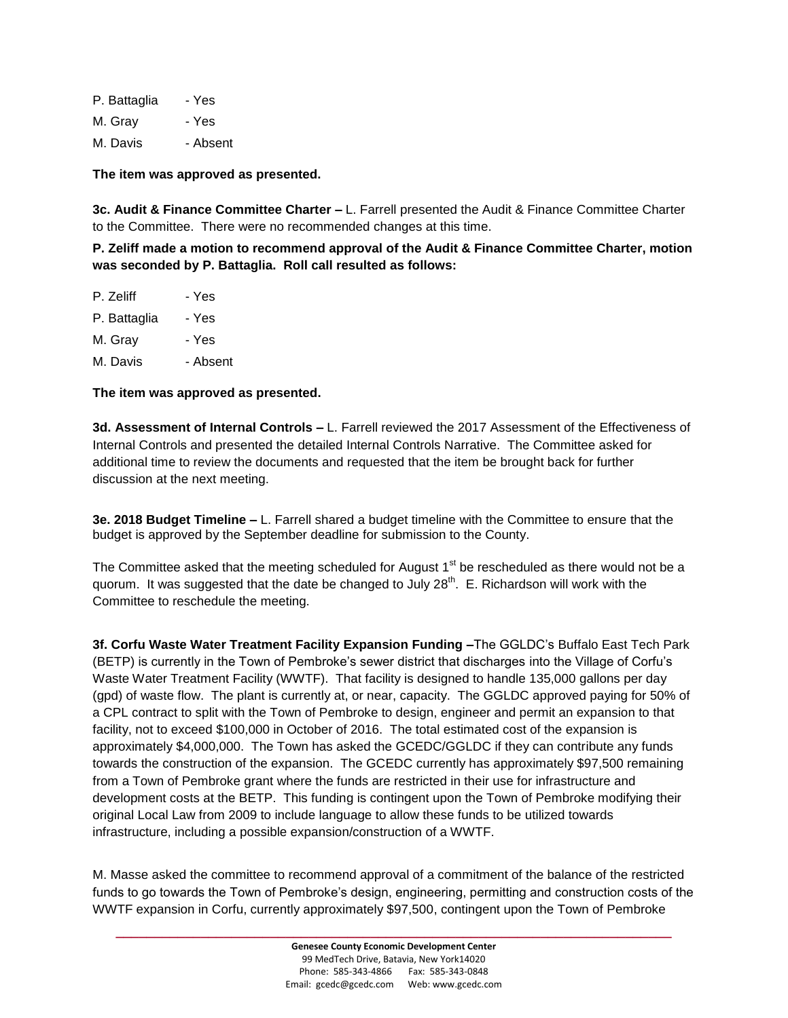P. Battaglia - Yes M. Gray - Yes M. Davis - Absent

**The item was approved as presented.**

**3c. Audit & Finance Committee Charter –** L. Farrell presented the Audit & Finance Committee Charter to the Committee. There were no recommended changes at this time.

**P. Zeliff made a motion to recommend approval of the Audit & Finance Committee Charter, motion was seconded by P. Battaglia. Roll call resulted as follows:**

| P. Zeliff    | - Yes    |
|--------------|----------|
| P. Battaglia | - Yes    |
| M. Grav      | - Yes    |
| M. Davis     | - Absent |
|              |          |

**The item was approved as presented.**

**3d. Assessment of Internal Controls –** L. Farrell reviewed the 2017 Assessment of the Effectiveness of Internal Controls and presented the detailed Internal Controls Narrative. The Committee asked for additional time to review the documents and requested that the item be brought back for further discussion at the next meeting.

**3e. 2018 Budget Timeline –** L. Farrell shared a budget timeline with the Committee to ensure that the budget is approved by the September deadline for submission to the County.

The Committee asked that the meeting scheduled for August 1<sup>st</sup> be rescheduled as there would not be a quorum. It was suggested that the date be changed to July 28<sup>th</sup>. E. Richardson will work with the Committee to reschedule the meeting.

**3f. Corfu Waste Water Treatment Facility Expansion Funding –**The GGLDC's Buffalo East Tech Park (BETP) is currently in the Town of Pembroke's sewer district that discharges into the Village of Corfu's Waste Water Treatment Facility (WWTF). That facility is designed to handle 135,000 gallons per day (gpd) of waste flow. The plant is currently at, or near, capacity. The GGLDC approved paying for 50% of a CPL contract to split with the Town of Pembroke to design, engineer and permit an expansion to that facility, not to exceed \$100,000 in October of 2016. The total estimated cost of the expansion is approximately \$4,000,000. The Town has asked the GCEDC/GGLDC if they can contribute any funds towards the construction of the expansion. The GCEDC currently has approximately \$97,500 remaining from a Town of Pembroke grant where the funds are restricted in their use for infrastructure and development costs at the BETP. This funding is contingent upon the Town of Pembroke modifying their original Local Law from 2009 to include language to allow these funds to be utilized towards infrastructure, including a possible expansion/construction of a WWTF.

M. Masse asked the committee to recommend approval of a commitment of the balance of the restricted funds to go towards the Town of Pembroke's design, engineering, permitting and construction costs of the WWTF expansion in Corfu, currently approximately \$97,500, contingent upon the Town of Pembroke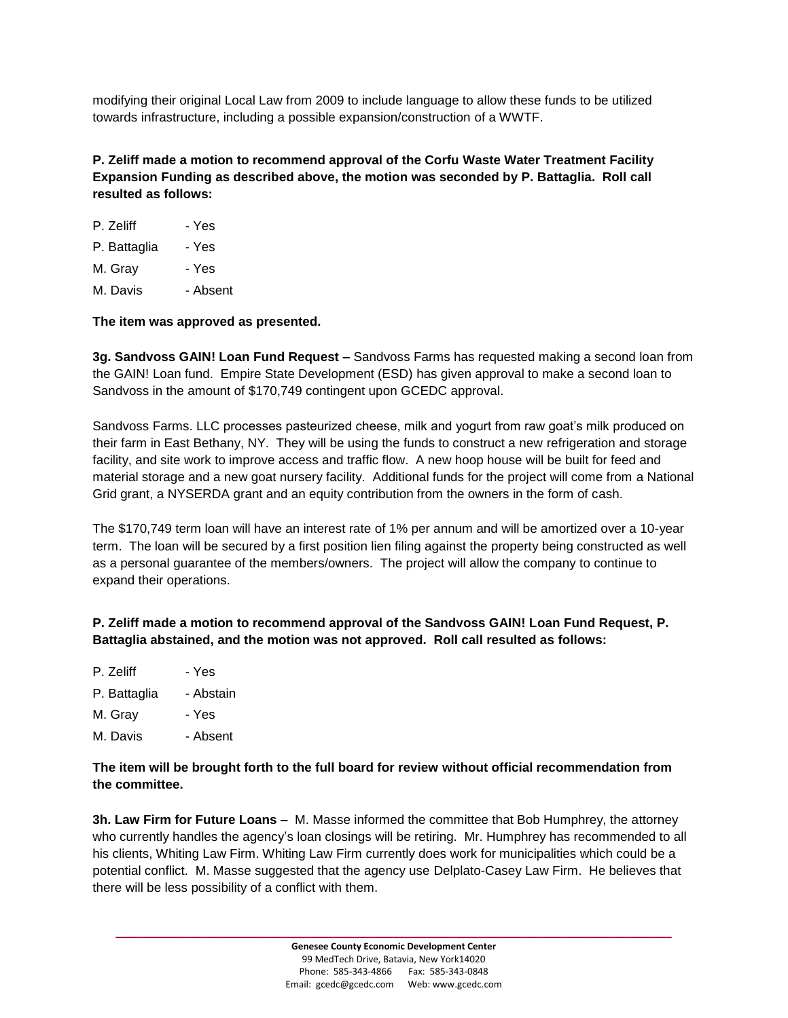modifying their original Local Law from 2009 to include language to allow these funds to be utilized towards infrastructure, including a possible expansion/construction of a WWTF.

**P. Zeliff made a motion to recommend approval of the Corfu Waste Water Treatment Facility Expansion Funding as described above, the motion was seconded by P. Battaglia. Roll call resulted as follows:**

| P. Zeliff    | - Yes    |
|--------------|----------|
| P. Battaglia | - Yes    |
| M. Grav      | - Yes    |
| M. Davis     | - Absent |

### **The item was approved as presented.**

**3g. Sandvoss GAIN! Loan Fund Request –** Sandvoss Farms has requested making a second loan from the GAIN! Loan fund. Empire State Development (ESD) has given approval to make a second loan to Sandvoss in the amount of \$170,749 contingent upon GCEDC approval.

Sandvoss Farms. LLC processes pasteurized cheese, milk and yogurt from raw goat's milk produced on their farm in East Bethany, NY. They will be using the funds to construct a new refrigeration and storage facility, and site work to improve access and traffic flow. A new hoop house will be built for feed and material storage and a new goat nursery facility. Additional funds for the project will come from a National Grid grant, a NYSERDA grant and an equity contribution from the owners in the form of cash.

The \$170,749 term loan will have an interest rate of 1% per annum and will be amortized over a 10-year term. The loan will be secured by a first position lien filing against the property being constructed as well as a personal guarantee of the members/owners. The project will allow the company to continue to expand their operations.

**P. Zeliff made a motion to recommend approval of the Sandvoss GAIN! Loan Fund Request, P. Battaglia abstained, and the motion was not approved. Roll call resulted as follows:**

- P. Zeliff Yes
- P. Battaglia Abstain
- M. Gray Yes
- M. Davis Absent

## **The item will be brought forth to the full board for review without official recommendation from the committee.**

**3h. Law Firm for Future Loans –** M. Masse informed the committee that Bob Humphrey, the attorney who currently handles the agency's loan closings will be retiring. Mr. Humphrey has recommended to all his clients, Whiting Law Firm. Whiting Law Firm currently does work for municipalities which could be a potential conflict. M. Masse suggested that the agency use Delplato-Casey Law Firm. He believes that there will be less possibility of a conflict with them.